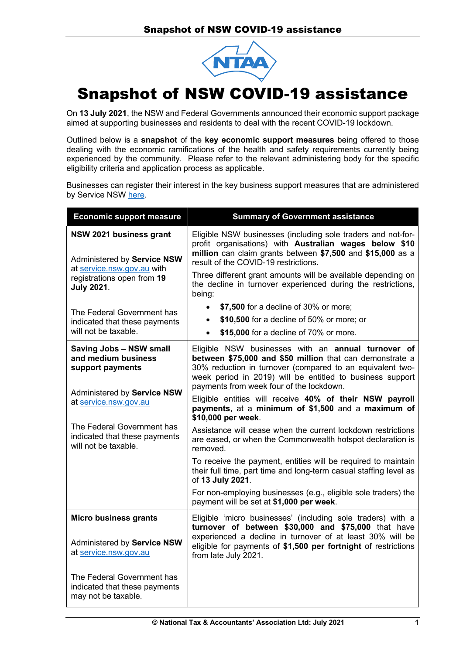

## Snapshot of NSW COVID-19 assistance

On **13 July 2021**, the NSW and Federal Governments announced their economic support package aimed at supporting businesses and residents to deal with the recent COVID-19 lockdown.

Outlined below is a **snapshot** of the **key economic support measures** being offered to those dealing with the economic ramifications of the health and safety requirements currently being experienced by the community. Please refer to the relevant administering body for the specific eligibility criteria and application process as applicable.

Businesses can register their interest in the key business support measures that are administered by Servic[e NSW here.](https://www.service.nsw.gov.au/covid-19-business-support-2021) 

| <b>Economic support measure</b>                                                                                                                                                                                          | <b>Summary of Government assistance</b>                                                                                                                                                                                                                                                                                                                                                                                                                                                                                                                                                                                                                                                                                                                                                                                                       |
|--------------------------------------------------------------------------------------------------------------------------------------------------------------------------------------------------------------------------|-----------------------------------------------------------------------------------------------------------------------------------------------------------------------------------------------------------------------------------------------------------------------------------------------------------------------------------------------------------------------------------------------------------------------------------------------------------------------------------------------------------------------------------------------------------------------------------------------------------------------------------------------------------------------------------------------------------------------------------------------------------------------------------------------------------------------------------------------|
| NSW 2021 business grant<br>Administered by Service NSW<br>at service.nsw.gov.au with<br>registrations open from 19<br><b>July 2021.</b>                                                                                  | Eligible NSW businesses (including sole traders and not-for-<br>profit organisations) with Australian wages below \$10<br>million can claim grants between \$7,500 and \$15,000 as a<br>result of the COVID-19 restrictions.<br>Three different grant amounts will be available depending on<br>the decline in turnover experienced during the restrictions,<br>being:                                                                                                                                                                                                                                                                                                                                                                                                                                                                        |
| The Federal Government has<br>indicated that these payments                                                                                                                                                              | \$7,500 for a decline of 30% or more;<br>$\bullet$<br>\$10,500 for a decline of 50% or more; or<br>$\bullet$                                                                                                                                                                                                                                                                                                                                                                                                                                                                                                                                                                                                                                                                                                                                  |
| will not be taxable.                                                                                                                                                                                                     | \$15,000 for a decline of 70% or more.<br>$\bullet$                                                                                                                                                                                                                                                                                                                                                                                                                                                                                                                                                                                                                                                                                                                                                                                           |
| <b>Saving Jobs - NSW small</b><br>and medium business<br>support payments<br>Administered by Service NSW<br>at service.nsw.gov.au<br>The Federal Government has<br>indicated that these payments<br>will not be taxable. | Eligible NSW businesses with an annual turnover of<br>between \$75,000 and \$50 million that can demonstrate a<br>30% reduction in turnover (compared to an equivalent two-<br>week period in 2019) will be entitled to business support<br>payments from week four of the lockdown.<br>Eligible entities will receive 40% of their NSW payroll<br>payments, at a minimum of \$1,500 and a maximum of<br>\$10,000 per week.<br>Assistance will cease when the current lockdown restrictions<br>are eased, or when the Commonwealth hotspot declaration is<br>removed.<br>To receive the payment, entities will be required to maintain<br>their full time, part time and long-term casual staffing level as<br>of 13 July 2021.<br>For non-employing businesses (e.g., eligible sole traders) the<br>payment will be set at \$1,000 per week. |
| <b>Micro business grants</b><br>Administered by Service NSW<br>at service.nsw.gov.au<br>The Federal Government has<br>indicated that these payments                                                                      | Eligible 'micro businesses' (including sole traders) with a<br>turnover of between \$30,000 and \$75,000 that have<br>experienced a decline in turnover of at least 30% will be<br>eligible for payments of \$1,500 per fortnight of restrictions<br>from late July 2021.                                                                                                                                                                                                                                                                                                                                                                                                                                                                                                                                                                     |
| may not be taxable.                                                                                                                                                                                                      |                                                                                                                                                                                                                                                                                                                                                                                                                                                                                                                                                                                                                                                                                                                                                                                                                                               |